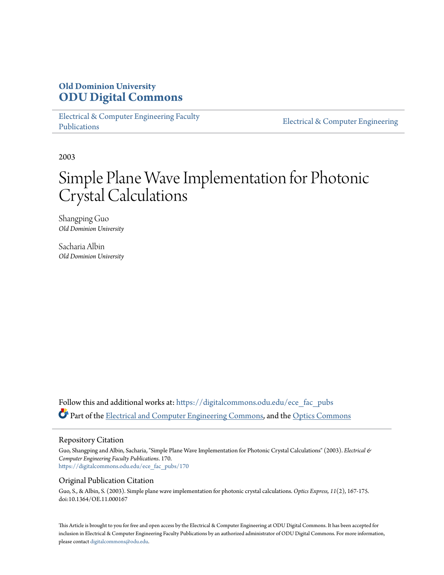### **Old Dominion University [ODU Digital Commons](https://digitalcommons.odu.edu?utm_source=digitalcommons.odu.edu%2Fece_fac_pubs%2F170&utm_medium=PDF&utm_campaign=PDFCoverPages)**

[Electrical & Computer Engineering Faculty](https://digitalcommons.odu.edu/ece_fac_pubs?utm_source=digitalcommons.odu.edu%2Fece_fac_pubs%2F170&utm_medium=PDF&utm_campaign=PDFCoverPages) [Publications](https://digitalcommons.odu.edu/ece_fac_pubs?utm_source=digitalcommons.odu.edu%2Fece_fac_pubs%2F170&utm_medium=PDF&utm_campaign=PDFCoverPages)

[Electrical & Computer Engineering](https://digitalcommons.odu.edu/ece?utm_source=digitalcommons.odu.edu%2Fece_fac_pubs%2F170&utm_medium=PDF&utm_campaign=PDFCoverPages)

2003

# Simple Plane Wave Implementation for Photonic Crystal Calculations

Shangping Guo *Old Dominion University*

Sacharia Albin *Old Dominion University*

Follow this and additional works at: [https://digitalcommons.odu.edu/ece\\_fac\\_pubs](https://digitalcommons.odu.edu/ece_fac_pubs?utm_source=digitalcommons.odu.edu%2Fece_fac_pubs%2F170&utm_medium=PDF&utm_campaign=PDFCoverPages) Part of the [Electrical and Computer Engineering Commons](http://network.bepress.com/hgg/discipline/266?utm_source=digitalcommons.odu.edu%2Fece_fac_pubs%2F170&utm_medium=PDF&utm_campaign=PDFCoverPages), and the [Optics Commons](http://network.bepress.com/hgg/discipline/204?utm_source=digitalcommons.odu.edu%2Fece_fac_pubs%2F170&utm_medium=PDF&utm_campaign=PDFCoverPages)

#### Repository Citation

Guo, Shangping and Albin, Sacharia, "Simple Plane Wave Implementation for Photonic Crystal Calculations" (2003). *Electrical & Computer Engineering Faculty Publications*. 170. [https://digitalcommons.odu.edu/ece\\_fac\\_pubs/170](https://digitalcommons.odu.edu/ece_fac_pubs/170?utm_source=digitalcommons.odu.edu%2Fece_fac_pubs%2F170&utm_medium=PDF&utm_campaign=PDFCoverPages)

#### Original Publication Citation

Guo, S., & Albin, S. (2003). Simple plane wave implementation for photonic crystal calculations. *Optics Express, 11*(2), 167-175. doi:10.1364/OE.11.000167

This Article is brought to you for free and open access by the Electrical & Computer Engineering at ODU Digital Commons. It has been accepted for inclusion in Electrical & Computer Engineering Faculty Publications by an authorized administrator of ODU Digital Commons. For more information, please contact [digitalcommons@odu.edu](mailto:digitalcommons@odu.edu).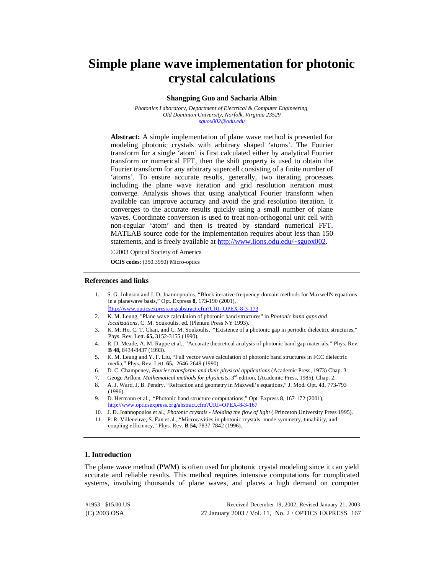## **Simple plane wave implementation for photonic crystal calculations**

#### **Shangping Guo and Sacharia Albin**

*Photonics Laboratory, Department of Electrical & Computer Engineering, Old Dominion University, Norfolk, Virginia 23529 [sguox002@odu.edu](mailto:sguox002@odu.edu)*

**Abstract:** A simple implementation of plane wave method is presented for modeling photonic crystals with arbitrary shaped 'atoms'. The Fourier transform for a single 'atom' is first calculated either by analytical Fourier transform or numerical FFT, then the shift property is used to obtain the Fourier transform for any arbitrary supercell consisting of a finite number of 'atoms'. To ensure accurate results, generally, two iterating processes including the plane wave iteration and grid resolution iteration must converge. Analysis shows that using analytical Fourier transform when available can improve accuracy and avoid the grid resolution iteration. It converges to the accurate results quickly using a small number of plane waves. Coordinate conversion is used to treat non-orthogonal unit cell with non-regular 'atom' and then is treated by standard numerical FFT. MATLAB source code for the implementation requires about less than 150 statements, and is freely available at http://www.lions.odu.edu/~sguox002.

©2003 Optical Society of America

**OCIS codes**: (350.3950) Micro-optics

#### **References and links**

- 1. S. G. Johnson and J. D. Joannopoulos, "Block iterative frequency-domain methods for Maxwell's equations in a planewave basis," Opt. Express **8,** 173-190 (2001),
- <http://www.opticsexpress.org/abstract.cfm?URI=OPEX-8-3-173> 2. K. M. Leung, "Plane wave calculation of photonic band structures" in *Photonic band gaps and* 
	- *localizations*, C. M. Soukoulis. ed. (Plenum Press NY 1993).
- 3. K. M. Ho, C. T. Chan, and C. M. Soukoulis, "Existence of a photonic gap in periodic dielectric structures," Phys. Rev. Lett. **65,** 3152-3155 (1990).
- 4. R. D. Meade, A. M. Rappe et al., "Accurate theoretical analysis of photonic band gap materials," Phys. Rev. **B 48,** 8434-8437 (1993).
- 5. K. M. Leung and Y. F. Liu, "Full vector wave calculation of photonic band structures in FCC dielectric media," Phys. Rev. Lett. **65,** 2646-2649 (1990).
- 6. D. C. Champeney, *Fourier transforms and their physical applications* (Academic Press, 1973) Chap. 3.
- 7. Geoge Arfken, *Mathematical methods for physicists*, 3rd edition, (Academic Press, 1985), Chap. 2.
- 8. A. J. Ward, J. B. Pendry, "Refraction and geometry in Maxwell's equations," J. Mod. Opt. **43**, 773-793 (1996)
- 9. D. Hermann et al., "Photonic band structure computations," Opt. Express **8**, 167-172 (2001), <http://www.opticsexpress.org/abstract.cfm?URI=OPEX-8-3-167>
- 10. J. D..Joannopoulos et al., *Photonic crystals Molding the flow of light* ( Princeton University Press 1995).
- 11. P. R. Villeneuve, S. Fan et al., "Microcavities in photonic crystals: mode symmetry, tunability, and coupling efficiency," Phys. Rev. **B 54,** 7837-7842 (1996).

#### **1. Introduction**

The plane wave method (PWM) is often used for photonic crystal modeling since it can yield accurate and reliable results. This method requires intensive computations for complicated systems, involving thousands of plane waves, and places a high demand on computer

(C) 2003 OSA 27 January 2003 / Vol. 11, No. 2 / OPTICS EXPRESS 167 #1953 - \$15.00 US Received December 19, 2002; Revised January 21, 2003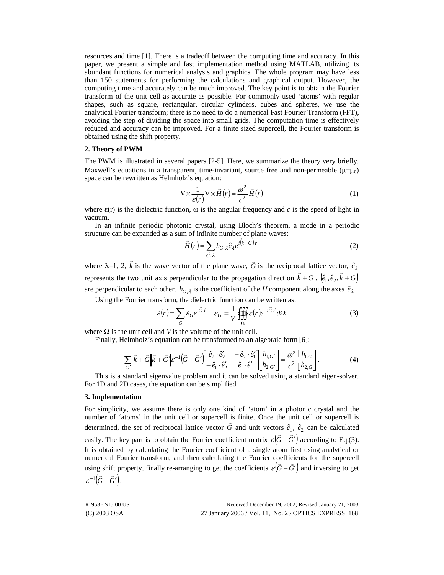resources and time [1]. There is a tradeoff between the computing time and accuracy. In this paper, we present a simple and fast implementation method using MATLAB, utilizing its abundant functions for numerical analysis and graphics. The whole program may have less than 150 statements for performing the calculations and graphical output. However, the computing time and accurately can be much improved. The key point is to obtain the Fourier transform of the unit cell as accurate as possible. For commonly used 'atoms' with regular shapes, such as square, rectangular, circular cylinders, cubes and spheres, we use the analytical Fourier transform; there is no need to do a numerical Fast Fourier Transform (FFT), avoiding the step of dividing the space into small grids. The computation time is effectively reduced and accuracy can be improved. For a finite sized supercell, the Fourier transform is obtained using the shift property.

#### **2. Theory of PWM**

The PWM is illustrated in several papers [2-5]. Here, we summarize the theory very briefly. Maxwell's equations in a transparent, time-invariant, source free and non-permeable  $(\mu = \mu_0)$ space can be rewritten as Helmholz's equation:

$$
\nabla \times \frac{1}{\varepsilon(r)} \nabla \times \vec{H}(r) = \frac{\omega^2}{c^2} \vec{H}(r)
$$
 (1)

where  $\varepsilon(r)$  is the dielectric function,  $\omega$  is the angular frequency and *c* is the speed of light in vacuum.

In an infinite periodic photonic crystal, using Bloch's theorem, a mode in a periodic structure can be expanded as a sum of infinite number of plane waves:

$$
\vec{H}(r) = \sum_{\vec{G},\lambda} h_{G,\lambda} \hat{e}_{\lambda} e^{i(\vec{k} + \vec{G})\cdot \vec{r}}
$$
 (2)

where  $\lambda = 1, 2, \vec{k}$  is the wave vector of the plane wave,  $\vec{G}$  is the reciprocal lattice vector,  $\hat{e}_{\lambda}$ represents the two unit axis perpendicular to the propagation direction  $\vec{k} + \vec{G} \cdot (\hat{e}_1, \hat{e}_2, \vec{k} + \vec{G})$ are perpendicular to each other.  $h_{G,\lambda}$  is the coefficient of the *H* component along the axes  $\hat{e}_{\lambda}$ .

Using the Fourier transform, the dielectric function can be written as:  
\n
$$
\varepsilon(r) = \sum_{\vec{G}} \varepsilon_G e^{i\vec{G}\cdot\vec{r}} \quad \varepsilon_G = \frac{1}{V} \iiint_{\Omega} \varepsilon(r) e^{-i\vec{G}\cdot\vec{r}} d\Omega
$$
\n(3)

where  $\Omega$  is the unit cell and *V* is the volume of the unit cell.

Finally, Helmholz's equation can be transformed to an algebraic form [6]:

$$
\sum_{G'} \left| \vec{k} + \vec{G} \right| \left| \vec{k} + \vec{G}' \right| \varepsilon^{-1} \left( \vec{G} - \vec{G}' \right) \begin{bmatrix} \hat{e}_2 \cdot \hat{e}'_2 & -\hat{e}_2 \cdot \hat{e}'_1 \\ -\hat{e}_1 \cdot \hat{e}'_2 & \hat{e}_1 \cdot \hat{e}'_1 \end{bmatrix} \begin{bmatrix} h_{1,G'} \\ h_{2,G'} \end{bmatrix} = \frac{\omega^2}{c^2} \begin{bmatrix} h_{1,G} \\ h_{2,G} \end{bmatrix}.
$$
 (4)

This is a standard eigenvalue problem and it can be solved using a standard eigen-solver. For 1D and 2D cases, the equation can be simplified.

#### **3. Implementation**

For simplicity, we assume there is only one kind of 'atom' in a photonic crystal and the number of 'atoms' in the unit cell or supercell is finite. Once the unit cell or supercell is determined, the set of reciprocal lattice vector  $\vec{G}$  and unit vectors  $\hat{e}_1$ ,  $\hat{e}_2$  can be calculated easily. The key part is to obtain the Fourier coefficient matrix  $\varepsilon(\vec{G}-\vec{G}')$  according to Eq.(3). It is obtained by calculating the Fourier coefficient of a single atom first using analytical or numerical Fourier transform, and then calculating the Fourier coefficients for the supercell using shift property, finally re-arranging to get the coefficients  $\varepsilon(\vec{G}-\vec{G}')$  and inversing to get  $\varepsilon^{-1}(\vec{G}-\vec{G}')$ .

| #1953 - \$15.00 US | Received December 19, 2002; Revised January 21, 2003  |
|--------------------|-------------------------------------------------------|
| (C) 2003 OSA       | 27 January 2003 / Vol. 11, No. 2 / OPTICS EXPRESS 168 |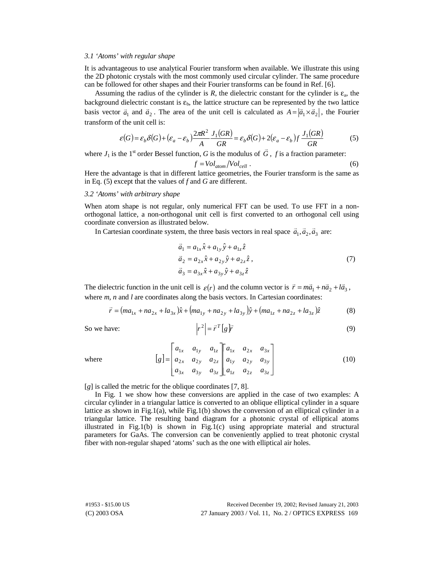#### *3.1 'Atoms' with regular shape*

It is advantageous to use analytical Fourier transform when available. We illustrate this using the 2D photonic crystals with the most commonly used circular cylinder. The same procedure can be followed for other shapes and their Fourier transforms can be found in Ref. [6].

Assuming the radius of the cylinder is *R*, the dielectric constant for the cylinder is  $\varepsilon_n$ , the background dielectric constant is  $\varepsilon_b$ , the lattice structure can be represented by the two lattice basis vector  $\vec{a}_1$  and  $\vec{a}_2$ . The area of the unit cell is calculated as  $A = |\vec{a}_1 \times \vec{a}_2|$ , the Fourier transform of the unit cell is:

$$
\varepsilon(G) = \varepsilon_b \delta(G) + (\varepsilon_a - \varepsilon_b) \frac{2\pi R^2}{A} \frac{J_1(GR)}{GR} = \varepsilon_b \delta(G) + 2(\varepsilon_a - \varepsilon_b) f \frac{J_1(GR)}{GR}
$$
(5)

where  $J_1$  is the 1<sup>st</sup> order Bessel function, *G* is the modulus of  $\vec{G}$ , *f* is a fraction parameter:

$$
f = Vol_{atom} / Vol_{cell} \tag{6}
$$

Here the advantage is that in different lattice geometries, the Fourier transform is the same as in Eq. (5) except that the values of *f* and *G* are different.

#### *3.2 'Atoms' with arbitrary shape*

When atom shape is not regular, only numerical FFT can be used. To use FFT in a nonorthogonal lattice, a non-orthogonal unit cell is first converted to an orthogonal cell using coordinate conversion as illustrated below.

In Cartesian coordinate system, the three basis vectors in real space  $\vec{a}_1, \vec{a}_2, \vec{a}_3$  are:

$$
\vec{a}_1 = a_{1x}\hat{x} + a_{1y}\hat{y} + a_{1z}\hat{z} \n\vec{a}_2 = a_{2x}\hat{x} + a_{2y}\hat{y} + a_{2z}\hat{z} ,\n\vec{a}_3 = a_{3x}\hat{x} + a_{3y}\hat{y} + a_{3z}\hat{z}
$$
\n(7)

The dielectric function in the unit cell is  $\varepsilon(r)$  and the column vector is  $\vec{r} = m\vec{a}_1 + n\vec{a}_2 + l\vec{a}_3$ , where *m*, *n* and *l* are coordinates along the basis vectors. In Cartesian coordinates:

 $|r^2|$ 

$$
\vec{r} = (ma_{1x} + na_{2x} + la_{3x})\hat{x} + (ma_{1y} + na_{2y} + la_{3y})\hat{y} + (ma_{1z} + na_{2z} + la_{3z})\hat{z}
$$
(8)

So we have: 
$$
\left|r^2\right| = \vec{r}^T \left[g\right] \vec{r}
$$
 (9)

where

$$
[g] = \begin{bmatrix} a_{1x} & a_{1y} & a_{1z} \\ a_{2x} & a_{2y} & a_{2z} \\ a_{3x} & a_{3y} & a_{3z} \end{bmatrix} \begin{bmatrix} a_{1x} & a_{2x} & a_{3x} \\ a_{1y} & a_{2y} & a_{3y} \\ a_{1z} & a_{2z} & a_{3z} \end{bmatrix}
$$
 (10)

[*g*] is called the metric for the oblique coordinates [7, 8].

 $\Gamma$ 

In Fig. 1 we show how these conversions are applied in the case of two examples: A circular cylinder in a triangular lattice is converted to an oblique elliptical cylinder in a square lattice as shown in Fig.1(a), while Fig.1(b) shows the conversion of an elliptical cylinder in a triangular lattice. The resulting band diagram for a photonic crystal of elliptical atoms illustrated in Fig.1(b) is shown in Fig.1(c) using appropriate material and structural parameters for GaAs. The conversion can be conveniently applied to treat photonic crystal fiber with non-regular shaped 'atoms' such as the one with elliptical air holes.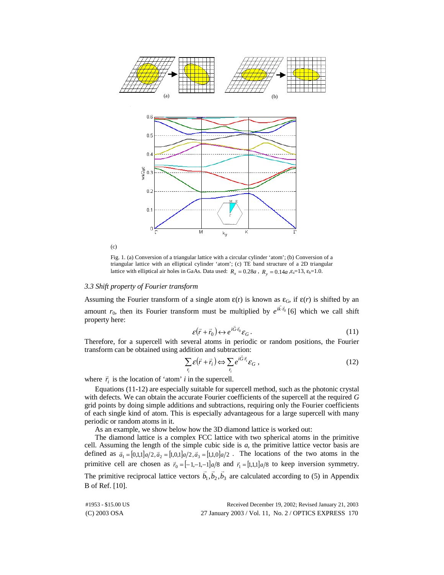

Fig. 1. (a) Conversion of a triangular lattice with a circular cylinder 'atom'; (b) Conversion of a triangular lattice with an elliptical cylinder 'atom'; (c) TE band structure of a 2D triangular lattice with elliptical air holes in GaAs. Data used:  $R_x = 0.28a$ ,  $R_y = 0.14a$ ,  $\epsilon_{\rm s} = 13$ ,  $\epsilon_{\rm b} = 1.0$ .

#### *3.3 Shift property of Fourier transform*

Assuming the Fourier transform of a single atom  $\varepsilon(r)$  is known as  $\varepsilon_G$ , if  $\varepsilon(r)$  is shifted by an amount  $r_0$ , then its Fourier transform must be multiplied by  $e^{i\vec{k}\cdot\vec{r}_0}$  [6] which we call shift property here:

$$
\varepsilon(\vec{r} + \vec{r}_0) \leftrightarrow e^{i\vec{G}\cdot\vec{r}_0} \varepsilon_G. \tag{11}
$$

Therefore, for a supercell with several atoms in periodic or random positions, the Fourier transform can be obtained using addition and subtraction:

$$
\sum_{r_i} \varepsilon(\vec{r} + \vec{r}_i) \Longleftrightarrow \sum_{r_i} e^{i\vec{G}\cdot\vec{r}_i} \varepsilon_G , \qquad (12)
$$

where  $\vec{r}_i$  is the location of 'atom' *i* in the supercell.

Equations (11-12) are especially suitable for supercell method, such as the photonic crystal with defects. We can obtain the accurate Fourier coefficients of the supercell at the required *G* grid points by doing simple additions and subtractions, requiring only the Fourier coefficients of each single kind of atom. This is especially advantageous for a large supercell with many periodic or random atoms in it.

As an example, we show below how the 3D diamond lattice is worked out:

The diamond lattice is a complex FCC lattice with two spherical atoms in the primitive cell. Assuming the length of the simple cubic side is *a*, the primitive lattice vector basis are defined as  $\vec{a}_1 = [0,1,1]a/2, \vec{a}_2 = [1,0,1]a/2, \vec{a}_3 = [1,1,0]a/2$ . The locations of the two atoms in the primitive cell are chosen as  $\vec{r}_0 = [-1,-1,-1]a/8$  and  $\vec{r}_1 = [1,1,1]a/8$  to keep inversion symmetry. The primitive reciprocal lattice vectors  $\vec{b}_1, \vec{b}_2, \vec{b}_3$  are calculated according to (5) in Appendix B of Ref. [10].

| #1953 - \$15.00 US | Received December 19, 2002; Revised January 21, 2003  |
|--------------------|-------------------------------------------------------|
| $(C)$ 2003 OSA     | 27 January 2003 / Vol. 11, No. 2 / OPTICS EXPRESS 170 |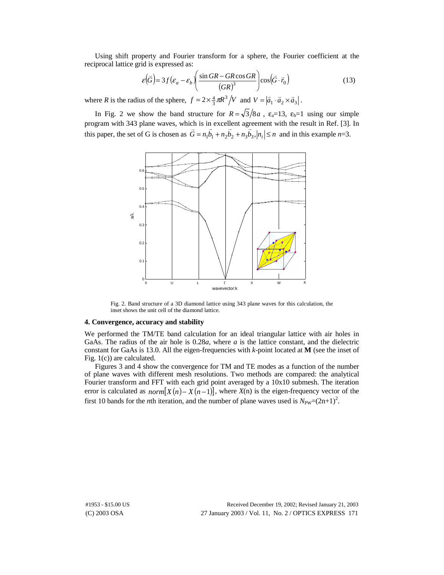Using shift property and Fourier transform for a sphere, the Fourier coefficient at the reciprocal lattice grid is expressed as:

$$
\varepsilon(\vec{G}) = 3f(\varepsilon_a - \varepsilon_b) \left( \frac{\sin GR - GR \cos GR}{(GR)^3} \right) \cos(\vec{G} \cdot \vec{r}_0)
$$
(13)

where *R* is the radius of the sphere,  $f = 2 \times \frac{4}{3} \pi R^3 / V$  and  $V = |\vec{a}_1 \cdot \vec{a}_2 \times \vec{a}_3|$ .

In Fig. 2 we show the band structure for  $R = \sqrt{3}/8a$ ,  $\varepsilon_a = 13$ ,  $\varepsilon_b = 1$  using our simple program with 343 plane waves, which is in excellent agreement with the result in Ref. [3]. In this paper, the set of G is chosen as  $\vec{G} = n_1 \vec{b}_1 + n_2 \vec{b}_2 + n_3 \vec{b}_3$ ,  $|n_i| \le n$  and in this example *n*=3.



Fig. 2. Band structure of a 3D diamond lattice using 343 plane waves for this calculation, the inset shows the unit cell of the diamond lattice.

#### **4. Convergence, accuracy and stability**

We performed the TM/TE band calculation for an ideal triangular lattice with air holes in GaAs. The radius of the air hole is 0.28*a*, where *a* is the lattice constant, and the dielectric constant for GaAs is 13.0. All the eigen-frequencies with *k*-point located at **M** (see the inset of Fig. 1(c)) are calculated.

Figures 3 and 4 show the convergence for TM and TE modes as a function of the number of plane waves with different mesh resolutions. Two methods are compared: the analytical Fourier transform and FFT with each grid point averaged by a 10x10 submesh. The iteration error is calculated as  $norm[X(n) - X(n-1)]$ , where  $X(n)$  is the eigen-frequency vector of the first 10 bands for the *n*th iteration, and the number of plane waves used is  $N_{\text{PW}}=(2n+1)^2$ .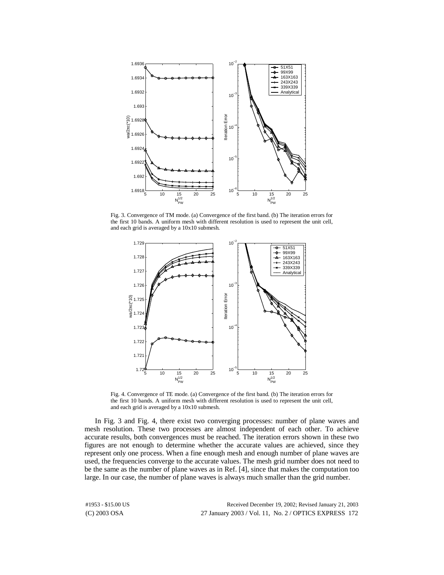

Fig. 3. Convergence of TM mode. (a) Convergence of the first band. (b) The iteration errors for the first 10 bands. A uniform mesh with different resolution is used to represent the unit cell, and each grid is averaged by a 10x10 submesh.



Fig. 4. Convergence of TE mode. (a) Convergence of the first band. (b) The iteration errors for the first 10 bands. A uniform mesh with different resolution is used to represent the unit cell, and each grid is averaged by a 10x10 submesh.

In Fig. 3 and Fig. 4, there exist two converging processes: number of plane waves and mesh resolution. These two processes are almost independent of each other. To achieve accurate results, both convergences must be reached. The iteration errors shown in these two figures are not enough to determine whether the accurate values are achieved, since they represent only one process. When a fine enough mesh and enough number of plane waves are used, the frequencies converge to the accurate values. The mesh grid number does not need to be the same as the number of plane waves as in Ref. [4], since that makes the computation too large. In our case, the number of plane waves is always much smaller than the grid number.

(C) 2003 OSA 27 January 2003 / Vol. 11, No. 2 / OPTICS EXPRESS 172 #1953 - \$15.00 US Received December 19, 2002; Revised January 21, 2003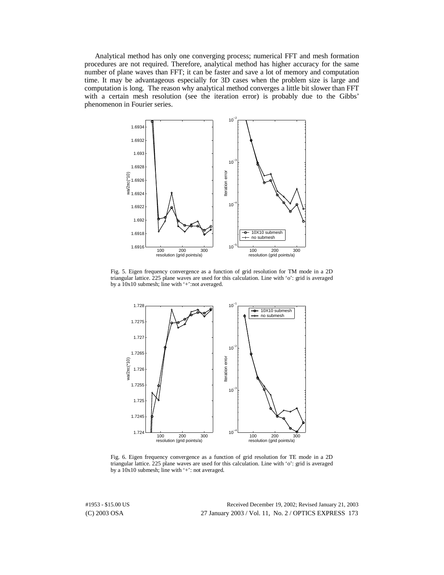Analytical method has only one converging process; numerical FFT and mesh formation procedures are not required. Therefore, analytical method has higher accuracy for the same number of plane waves than FFT; it can be faster and save a lot of memory and computation time. It may be advantageous especially for 3D cases when the problem size is large and computation is long. The reason why analytical method converges a little bit slower than FFT with a certain mesh resolution (see the iteration error) is probably due to the Gibbs' phenomenon in Fourier series.



Fig. 5. Eigen frequency convergence as a function of grid resolution for TM mode in a 2D triangular lattice. 225 plane waves are used for this calculation. Line with 'o': grid is averaged by a 10x10 submesh; line with '+':not averaged.



Fig. 6. Eigen frequency convergence as a function of grid resolution for TE mode in a 2D triangular lattice. 225 plane waves are used for this calculation. Line with 'o': grid is averaged by a 10x10 submesh; line with '+': not averaged.

(C) 2003 OSA 27 January 2003 / Vol. 11, No. 2 / OPTICS EXPRESS 173 #1953 - \$15.00 US Received December 19, 2002; Revised January 21, 2003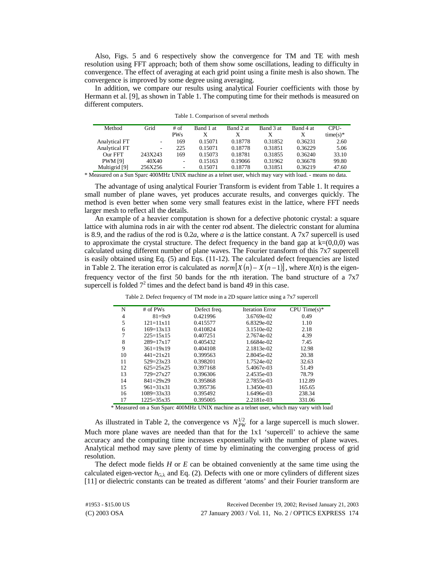Also, Figs. 5 and 6 respectively show the convergence for TM and TE with mesh resolution using FFT approach; both of them show some oscillations, leading to difficulty in convergence. The effect of averaging at each grid point using a finite mesh is also shown. The convergence is improved by some degree using averaging.

In addition, we compare our results using analytical Fourier coefficients with those by Hermann et al. [9], as shown in Table 1. The computing time for their methods is measured on different computers.

| Method         | Grid                     | # <sub>of</sub>          | Band 1 at | Band 2 at | Band 3 at | Band 4 at | CPU-       |
|----------------|--------------------------|--------------------------|-----------|-----------|-----------|-----------|------------|
|                |                          | <b>PWs</b>               | X         | х         | X         | X         | $time(s)*$ |
| Analytical FT  | $\overline{\phantom{a}}$ | 169                      | 0.15071   | 0.18778   | 0.31852   | 0.36231   | 2.60       |
| Analytical FT  | $\overline{\phantom{a}}$ | 225                      | 0.15071   | 0.18778   | 0.31851   | 0.36229   | 5.06       |
| Our FFT        | 243X243                  | 169                      | 0.15073   | 0.18781   | 0.31855   | 0.36240   | 33.10      |
| <b>PWM</b> [9] | 40X40                    | $\overline{\phantom{0}}$ | 0.15163   | 0.19066   | 0.31962   | 0.36678   | 99.80      |
| Multigrid [9]  | 256X256                  | ۰                        | 0.15071   | 0.18778   | 0.31851   | 0.36219   | 47.60      |

\* Measured on a Sun Sparc 400MHz UNIX machine as a telnet user, which may vary with load. - means no data.

The advantage of using analytical Fourier Transform is evident from Table 1. It requires a small number of plane waves, yet produces accurate results, and converges quickly. The method is even better when some very small features exist in the lattice, where FFT needs larger mesh to reflect all the details.

An example of a heavier computation is shown for a defective photonic crystal: a square lattice with alumina rods in air with the center rod absent. The dielectric constant for alumina is 8.9, and the radius of the rod is 0.2*a*, where *a* is the lattice constant. A 7x7 supercell is used to approximate the crystal structure. The defect frequency in the band gap at  $k=(0,0,0)$  was calculated using different number of plane waves. The Fourier transform of this 7x7 supercell is easily obtained using Eq. (5) and Eqs. (11-12). The calculated defect frequencies are listed in Table 2. The iteration error is calculated as  $norm[X(n) - X(n-1)]$ , where  $X(n)$  is the eigenfrequency vector of the first 50 bands for the *n*th iteration. The band structure of a 7x7 supercell is folded  $7^2$  times and the defect band is band 49 in this case.

| N  | # of $PWs$           | Defect freq. | <b>Iteration Error</b> | CPU Time $(s)$ * |
|----|----------------------|--------------|------------------------|------------------|
| 4  | $81 = 9x9$           | 0.421996     | 3.6769e-02             | 0.49             |
| 5  | $121 = 11 \times 11$ | 0.415577     | 6.8329e-02             | 1.10             |
| 6  | $169 = 13 \times 13$ | 0.410824     | 3.1510e-02             | 2.18             |
| 7  | $225 = 15x15$        | 0.407251     | 2.7674e-02             | 4.39             |
| 8  | $289 = 17x17$        | 0.405432     | 1.6684e-02             | 7.45             |
| 9  | $361 = 19x19$        | 0.404108     | 2.1813e-02             | 12.98            |
| 10 | $441 = 21 \times 21$ | 0.399563     | 2.8045e-02             | 20.38            |
| 11 | $529 = 23 \times 23$ | 0.398201     | 1.7524e-02             | 32.63            |
| 12 | $625=25x25$          | 0.397168     | 5.4067e-03             | 51.49            |
| 13 | $729 = 27x27$        | 0.396306     | 2.4535e-03             | 78.79            |
| 14 | $841 = 29x29$        | 0.395868     | 2.7855e-03             | 112.89           |
| 15 | $961 = 31x31$        | 0.395736     | 1.3450e-03             | 165.65           |
| 16 | $1089 = 33x33$       | 0.395492     | 1.6496e-03             | 238.34           |
| 17 | $1225 = 35x35$       | 0.395005     | 2.2181e-03             | 331.06           |
|    |                      |              |                        |                  |

Table 2. Defect frequency of TM mode in a 2D square lattice using a 7x7 supercell

\* Measured on a Sun Sparc 400MHz UNIX machine as a telnet user, which may vary with load

As illustrated in Table 2, the convergence vs  $N_{PW}^{1/2}$  for a large supercell is much slower. Much more plane waves are needed than that for the 1x1 'supercell' to achieve the same accuracy and the computing time increases exponentially with the number of plane waves. Analytical method may save plenty of time by eliminating the converging process of grid resolution.

The defect mode fields *H* or *E* can be obtained conveniently at the same time using the calculated eigen-vector  $h_{G,\lambda}$  and Eq. (2). Defects with one or more cylinders of different sizes [11] or dielectric constants can be treated as different 'atoms' and their Fourier transform are

(C) 2003 OSA 27 January 2003 / Vol. 11, No. 2 / OPTICS EXPRESS 174 #1953 - \$15.00 US Received December 19, 2002; Revised January 21, 2003